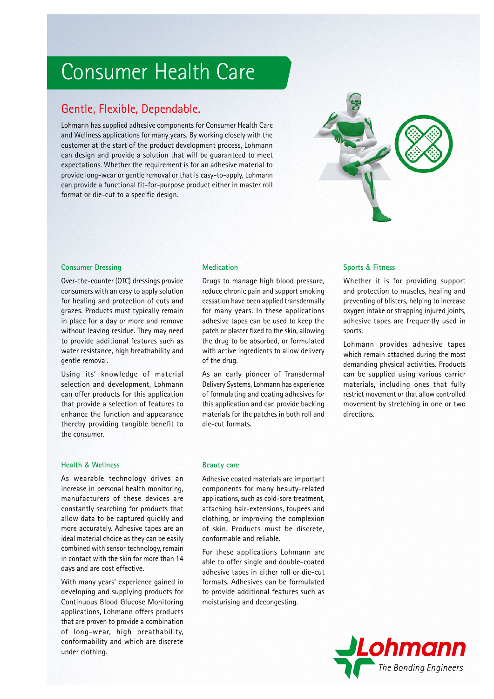# Consumer Health Care

## Gentle, Flexible, Dependable.

Lohmann has supplied adhesive components for Consumer Health Care and Wellness applications for many years. By working closely with the customer at the start of the product development process, Lohmann can design and provide a solution that will be guaranteed to meet expectations. Whether the requirement is for an adhesive material to provide long-wear or gentle removal or that is easy-to-apply, Lohmann can provide a functional fit-for-purpose product either in master roll format or die-cut to a specific design.



#### **Consumer Dressing**

Over-the-counter (OTC) dressings provide consumers with an easy to apply solution for healing and protection of cuts and grazes. Products must typically remain in place for a day or more and remove without leaving residue. They may need to provide additional features such as water resistance, high breathability and gentle removal.

Using its' knowledge of material selection and development, Lohmann can offer products for this application that provide a selection of features to enhance the function and appearance thereby providing tangible benefit to the consumer.

Drugs to manage high blood pressure, reduce chronic pain and support smoking cessation have been applied transdermally for many years. In these applications adhesive tapes can be used to keep the patch or plaster fixed to the skin, allowing the drug to be absorbed, or formulated with active ingredients to allow delivery of the drug.

As an early pioneer of Transdermal Delivery Systems, Lohmann has experience of formulating and coating adhesives for this application and can provide backing materials for the patches in both roll and die-cut formats.

#### **Medication Sports & Fitness**

Whether it is for providing support and protection to muscles, healing and preventing of blisters, helping to increase oxygen intake or strapping injured joints, adhesive tapes are frequently used in sports.

Lohmann provides adhesive tapes which remain attached during the most demanding physical activities. Products can be supplied using various carrier materials, including ones that fully restrict movement or that allow controlled movement by stretching in one or two directions.

### **Health & Wellness Beauty care**

As wearable technology drives an increase in personal health monitoring, manufacturers of these devices are constantly searching for products that allow data to be captured quickly and more accurately. Adhesive tapes are an ideal material choice as they can be easily combined with sensor technology, remain in contact with the skin for more than 14 days and are cost effective.

With many years' experience gained in developing and supplying products for Continuous Blood Glucose Monitoring applications, Lohmann offers products that are proven to provide a combination of long-wear, high breathability, conformability and which are discrete under clothing.

Adhesive coated materials are important components for many beauty-related applications, such as cold-sore treatment, attaching hair-extensions, toupees and clothing, or improving the complexion of skin. Products must be discrete, conformable and reliable.

For these applications Lohmann are able to offer single and double-coated adhesive tapes in either roll or die-cut formats. Adhesives can be formulated to provide additional features such as moisturising and decongesting.